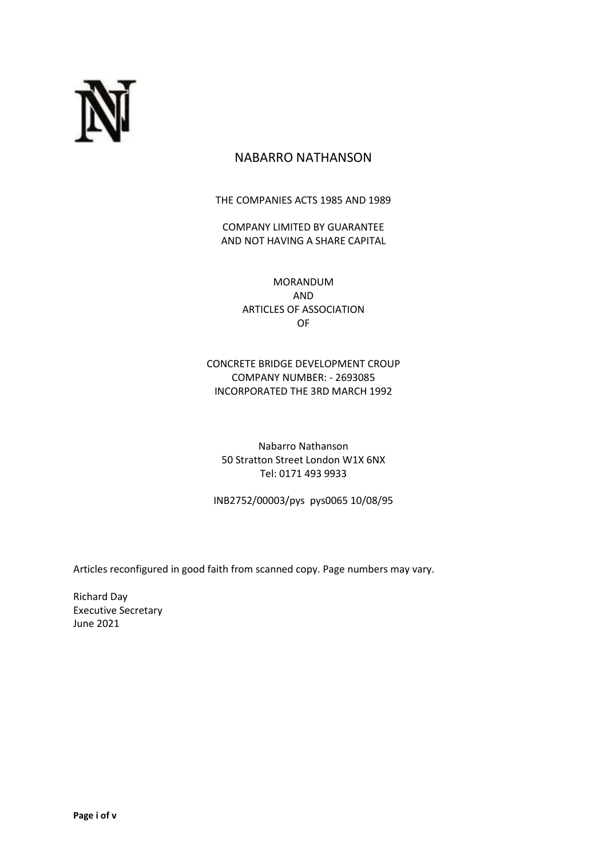

# NABARRO NATHANSON

THE COMPANIES ACTS 1985 AND 1989

COMPANY LIMITED BY GUARANTEE AND NOT HAVING A SHARE CAPITAL

> MORANDUM AND ARTICLES OF ASSOCIATION OF

CONCRETE BRIDGE DEVELOPMENT CROUP COMPANY NUMBER: - 2693085 INCORPORATED THE 3RD MARCH 1992

Nabarro Nathanson 50 Stratton Street London W1X 6NX Tel: 0171 493 9933

INB2752/00003/pys pys0065 10/08/95

Articles reconfigured in good faith from scanned copy. Page numbers may vary.

Richard Day Executive Secretary June 2021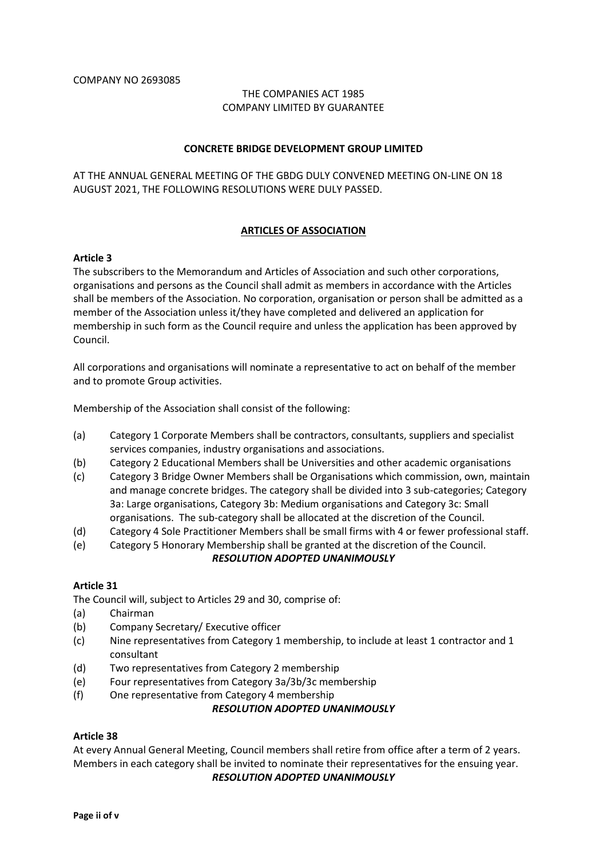## THE COMPANIES ACT 1985 COMPANY LIMITED BY GUARANTEE

#### **CONCRETE BRIDGE DEVELOPMENT GROUP LIMITED**

AT THE ANNUAL GENERAL MEETING OF THE GBDG DULY CONVENED MEETING ON-LINE ON 18 AUGUST 2021, THE FOLLOWING RESOLUTIONS WERE DULY PASSED.

### **ARTICLES OF ASSOCIATION**

### **Article 3**

The subscribers to the Memorandum and Articles of Association and such other corporations, organisations and persons as the Council shall admit as members in accordance with the Articles shall be members of the Association. No corporation, organisation or person shall be admitted as a member of the Association unless it/they have completed and delivered an application for membership in such form as the Council require and unless the application has been approved by Council.

All corporations and organisations will nominate a representative to act on behalf of the member and to promote Group activities.

Membership of the Association shall consist of the following:

- (a) Category 1 Corporate Members shall be contractors, consultants, suppliers and specialist services companies, industry organisations and associations.
- (b) Category 2 Educational Members shall be Universities and other academic organisations
- (c) Category 3 Bridge Owner Members shall be Organisations which commission, own, maintain and manage concrete bridges. The category shall be divided into 3 sub-categories; Category 3a: Large organisations, Category 3b: Medium organisations and Category 3c: Small organisations. The sub-category shall be allocated at the discretion of the Council.
- (d) Category 4 Sole Practitioner Members shall be small firms with 4 or fewer professional staff.
- (e) Category 5 Honorary Membership shall be granted at the discretion of the Council.

## *RESOLUTION ADOPTED UNANIMOUSLY*

#### **Article 31**

The Council will, subject to Articles 29 and 30, comprise of:

- (a) Chairman
- (b) Company Secretary/ Executive officer
- (c) Nine representatives from Category 1 membership, to include at least 1 contractor and 1 consultant
- (d) Two representatives from Category 2 membership
- (e) Four representatives from Category 3a/3b/3c membership
- (f) One representative from Category 4 membership

## *RESOLUTION ADOPTED UNANIMOUSLY*

#### **Article 38**

At every Annual General Meeting, Council members shall retire from office after a term of 2 years. Members in each category shall be invited to nominate their representatives for the ensuing year.

*RESOLUTION ADOPTED UNANIMOUSLY*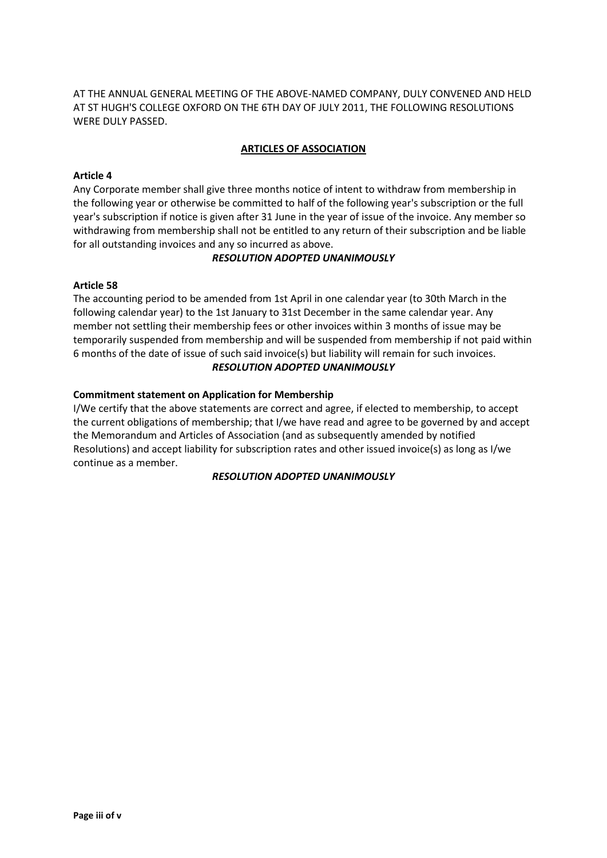AT THE ANNUAL GENERAL MEETING OF THE ABOVE-NAMED COMPANY, DULY CONVENED AND HELD AT ST HUGH'S COLLEGE OXFORD ON THE 6TH DAY OF JULY 2011, THE FOLLOWING RESOLUTIONS WERE DULY PASSED.

## **ARTICLES OF ASSOCIATION**

## **Article 4**

Any Corporate member shall give three months notice of intent to withdraw from membership in the following year or otherwise be committed to half of the following year's subscription or the full year's subscription if notice is given after 31 June in the year of issue of the invoice. Any member so withdrawing from membership shall not be entitled to any return of their subscription and be liable for all outstanding invoices and any so incurred as above.

## *RESOLUTION ADOPTED UNANIMOUSLY*

## **Article 58**

The accounting period to be amended from 1st April in one calendar year (to 30th March in the following calendar year) to the 1st January to 31st December in the same calendar year. Any member not settling their membership fees or other invoices within 3 months of issue may be temporarily suspended from membership and will be suspended from membership if not paid within 6 months of the date of issue of such said invoice(s) but liability will remain for such invoices. *RESOLUTION ADOPTED UNANIMOUSLY*

## **Commitment statement on Application for Membership**

I/We certify that the above statements are correct and agree, if elected to membership, to accept the current obligations of membership; that I/we have read and agree to be governed by and accept the Memorandum and Articles of Association (and as subsequently amended by notified Resolutions) and accept liability for subscription rates and other issued invoice(s) as long as I/we continue as a member.

## *RESOLUTION ADOPTED UNANIMOUSLY*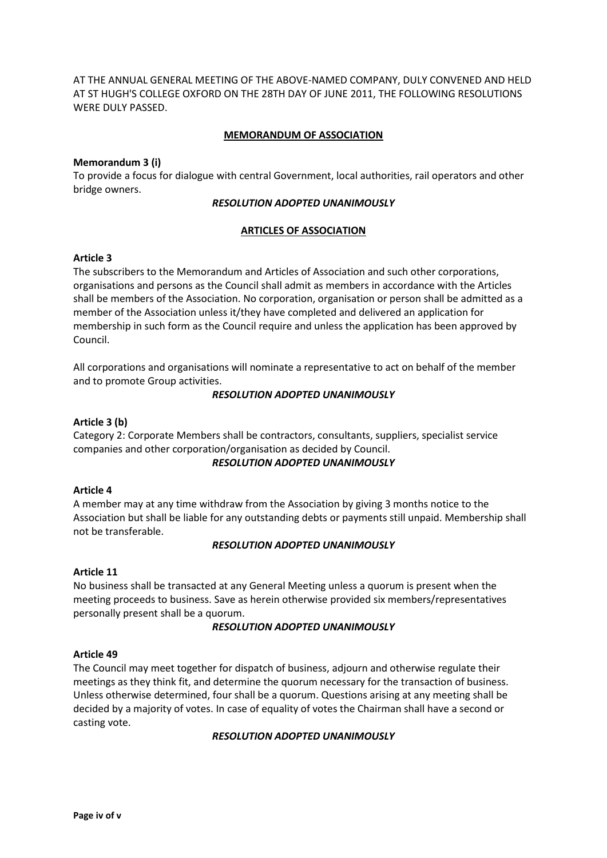AT THE ANNUAL GENERAL MEETING OF THE ABOVE-NAMED COMPANY, DULY CONVENED AND HELD AT ST HUGH'S COLLEGE OXFORD ON THE 28TH DAY OF JUNE 2011, THE FOLLOWING RESOLUTIONS WERE DULY PASSED.

## **MEMORANDUM OF ASSOCIATION**

### **Memorandum 3 (i)**

To provide a focus for dialogue with central Government, local authorities, rail operators and other bridge owners.

#### *RESOLUTION ADOPTED UNANIMOUSLY*

## **ARTICLES OF ASSOCIATION**

## **Article 3**

The subscribers to the Memorandum and Articles of Association and such other corporations, organisations and persons as the Council shall admit as members in accordance with the Articles shall be members of the Association. No corporation, organisation or person shall be admitted as a member of the Association unless it/they have completed and delivered an application for membership in such form as the Council require and unless the application has been approved by Council.

All corporations and organisations will nominate a representative to act on behalf of the member and to promote Group activities.

### *RESOLUTION ADOPTED UNANIMOUSLY*

### **Article 3 (b)**

Category 2: Corporate Members shall be contractors, consultants, suppliers, specialist service companies and other corporation/organisation as decided by Council.

#### *RESOLUTION ADOPTED UNANIMOUSLY*

## **Article 4**

A member may at any time withdraw from the Association by giving 3 months notice to the Association but shall be liable for any outstanding debts or payments still unpaid. Membership shall not be transferable.

## *RESOLUTION ADOPTED UNANIMOUSLY*

#### **Article 11**

No business shall be transacted at any General Meeting unless a quorum is present when the meeting proceeds to business. Save as herein otherwise provided six members/representatives personally present shall be a quorum.

#### *RESOLUTION ADOPTED UNANIMOUSLY*

#### **Article 49**

The Council may meet together for dispatch of business, adjourn and otherwise regulate their meetings as they think fit, and determine the quorum necessary for the transaction of business. Unless otherwise determined, four shall be a quorum. Questions arising at any meeting shall be decided by a majority of votes. In case of equality of votes the Chairman shall have a second or casting vote.

#### *RESOLUTION ADOPTED UNANIMOUSLY*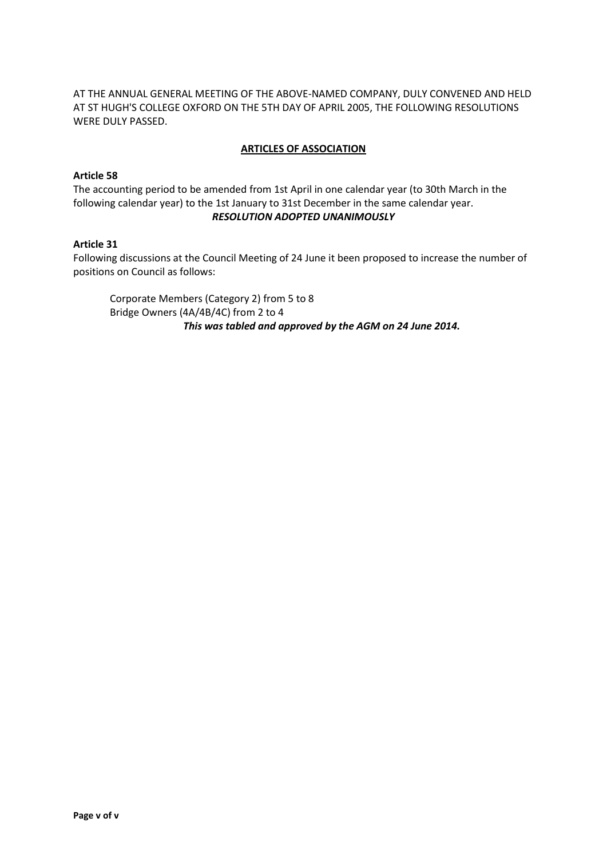## AT THE ANNUAL GENERAL MEETING OF THE ABOVE-NAMED COMPANY, DULY CONVENED AND HELD AT ST HUGH'S COLLEGE OXFORD ON THE 5TH DAY OF APRIL 2005, THE FOLLOWING RESOLUTIONS WERE DULY PASSED.

## **ARTICLES OF ASSOCIATION**

## **Article 58**

The accounting period to be amended from 1st April in one calendar year (to 30th March in the following calendar year) to the 1st January to 31st December in the same calendar year. *RESOLUTION ADOPTED UNANIMOUSLY*

## **Article 31**

Following discussions at the Council Meeting of 24 June it been proposed to increase the number of positions on Council as follows:

Corporate Members (Category 2) from 5 to 8 Bridge Owners (4A/4B/4C) from 2 to 4 *This was tabled and approved by the AGM on 24 June 2014.*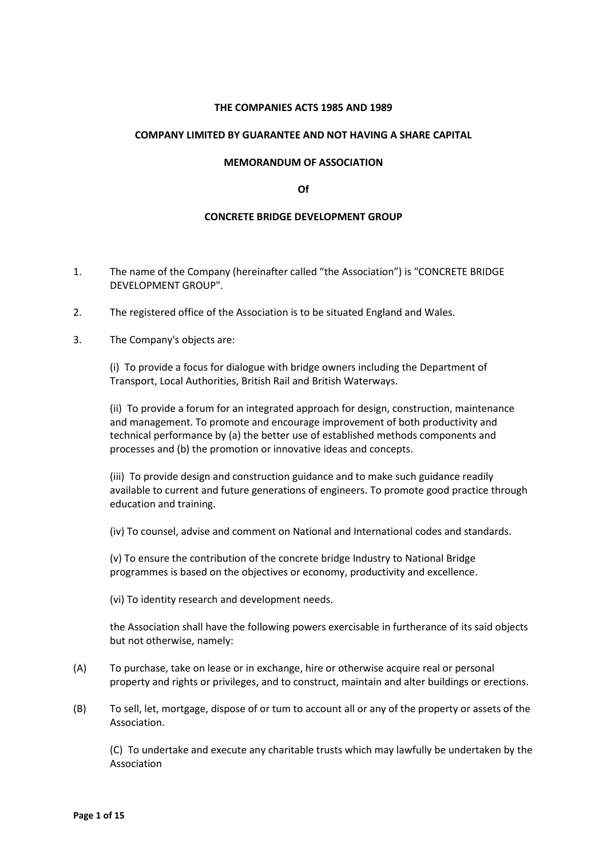### **THE COMPANIES ACTS 1985 AND 1989**

#### **COMPANY LIMITED BY GUARANTEE AND NOT HAVING A SHARE CAPITAL**

#### **MEMORANDUM OF ASSOCIATION**

#### **Of**

#### **CONCRETE BRIDGE DEVELOPMENT GROUP**

- 1. The name of the Company (hereinafter called "the Association") is "CONCRETE BRIDGE DEVELOPMENT GROUP".
- 2. The registered office of the Association is to be situated England and Wales.
- 3. The Company's objects are:

(i) To provide a focus for dialogue with bridge owners including the Department of Transport, Local Authorities, British Rail and British Waterways.

(ii) To provide a forum for an integrated approach for design, construction, maintenance and management. To promote and encourage improvement of both productivity and technical performance by (a) the better use of established methods components and processes and (b) the promotion or innovative ideas and concepts.

(iii) To provide design and construction guidance and to make such guidance readily available to current and future generations of engineers. To promote good practice through education and training.

(iv) To counsel, advise and comment on National and International codes and standards.

(v) To ensure the contribution of the concrete bridge Industry to National Bridge programmes is based on the objectives or economy, productivity and excellence.

(vi) To identity research and development needs.

the Association shall have the following powers exercisable in furtherance of its said objects but not otherwise, namely:

- (A) To purchase, take on lease or in exchange, hire or otherwise acquire real or personal property and rights or privileges, and to construct, maintain and alter buildings or erections.
- (B) To sell, let, mortgage, dispose of or tum to account all or any of the property or assets of the Association.

(C) To undertake and execute any charitable trusts which may lawfully be undertaken by the Association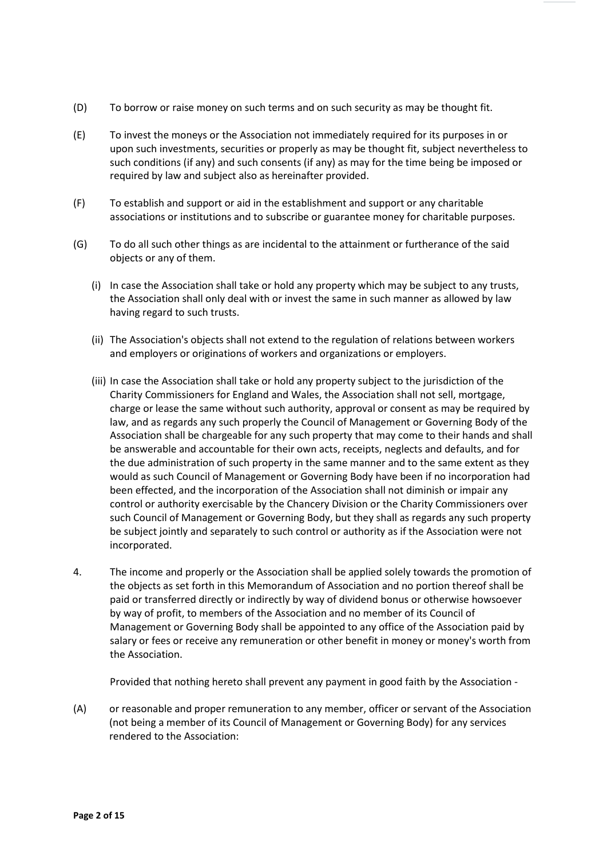- (D) To borrow or raise money on such terms and on such security as may be thought fit.
- (E) To invest the moneys or the Association not immediately required for its purposes in or upon such investments, securities or properly as may be thought fit, subject nevertheless to such conditions (if any) and such consents (if any) as may for the time being be imposed or required by law and subject also as hereinafter provided.
- (F) To establish and support or aid in the establishment and support or any charitable associations or institutions and to subscribe or guarantee money for charitable purposes.
- (G) To do all such other things as are incidental to the attainment or furtherance of the said objects or any of them.
	- (i) In case the Association shall take or hold any property which may be subject to any trusts, the Association shall only deal with or invest the same in such manner as allowed by law having regard to such trusts.
	- (ii) The Association's objects shall not extend to the regulation of relations between workers and employers or originations of workers and organizations or employers.
	- (iii) In case the Association shall take or hold any property subject to the jurisdiction of the Charity Commissioners for England and Wales, the Association shall not sell, mortgage, charge or lease the same without such authority, approval or consent as may be required by law, and as regards any such properly the Council of Management or Governing Body of the Association shall be chargeable for any such property that may come to their hands and shall be answerable and accountable for their own acts, receipts, neglects and defaults, and for the due administration of such property in the same manner and to the same extent as they would as such Council of Management or Governing Body have been if no incorporation had been effected, and the incorporation of the Association shall not diminish or impair any control or authority exercisable by the Chancery Division or the Charity Commissioners over such Council of Management or Governing Body, but they shall as regards any such property be subject jointly and separately to such control or authority as if the Association were not incorporated.
- 4. The income and properly or the Association shall be applied solely towards the promotion of the objects as set forth in this Memorandum of Association and no portion thereof shall be paid or transferred directly or indirectly by way of dividend bonus or otherwise howsoever by way of profit, to members of the Association and no member of its Council of Management or Governing Body shall be appointed to any office of the Association paid by salary or fees or receive any remuneration or other benefit in money or money's worth from the Association.

Provided that nothing hereto shall prevent any payment in good faith by the Association -

(A) or reasonable and proper remuneration to any member, officer or servant of the Association (not being a member of its Council of Management or Governing Body) for any services rendered to the Association: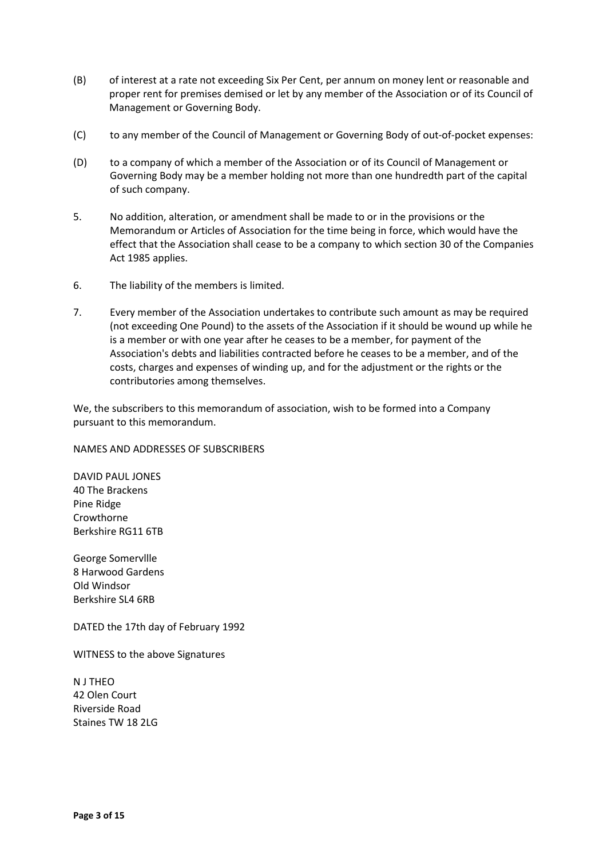- (B) of interest at a rate not exceeding Six Per Cent, per annum on money lent or reasonable and proper rent for premises demised or let by any member of the Association or of its Council of Management or Governing Body.
- (C) to any member of the Council of Management or Governing Body of out-of-pocket expenses:
- (D) to a company of which a member of the Association or of its Council of Management or Governing Body may be a member holding not more than one hundredth part of the capital of such company.
- 5. No addition, alteration, or amendment shall be made to or in the provisions or the Memorandum or Articles of Association for the time being in force, which would have the effect that the Association shall cease to be a company to which section 30 of the Companies Act 1985 applies.
- 6. The liability of the members is limited.
- 7. Every member of the Association undertakes to contribute such amount as may be required (not exceeding One Pound) to the assets of the Association if it should be wound up while he is a member or with one year after he ceases to be a member, for payment of the Association's debts and liabilities contracted before he ceases to be a member, and of the costs, charges and expenses of winding up, and for the adjustment or the rights or the contributories among themselves.

We, the subscribers to this memorandum of association, wish to be formed into a Company pursuant to this memorandum.

## NAMES AND ADDRESSES OF SUBSCRIBERS

DAVID PAUL JONES 40 The Brackens Pine Ridge Crowthorne Berkshire RG11 6TB

George Somervllle 8 Harwood Gardens Old Windsor Berkshire SL4 6RB

DATED the 17th day of February 1992

WITNESS to the above Signatures

N J THEO 42 Olen Court Riverside Road Staines TW 18 2LG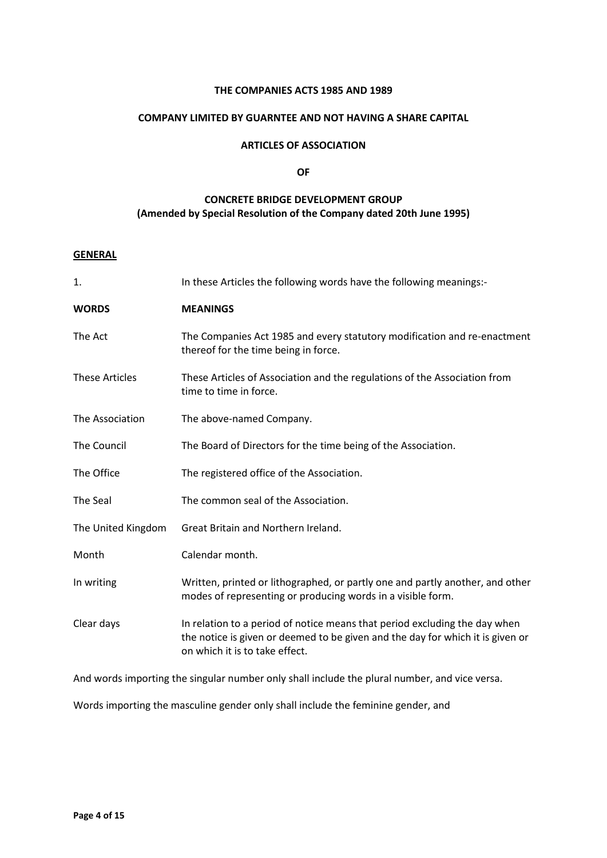### **THE COMPANIES ACTS 1985 AND 1989**

### **COMPANY LIMITED BY GUARNTEE AND NOT HAVING A SHARE CAPITAL**

## **ARTICLES OF ASSOCIATION**

#### **OF**

# **CONCRETE BRIDGE DEVELOPMENT GROUP (Amended by Special Resolution of the Company dated 20th June 1995)**

### **GENERAL**

| 1.                    | In these Articles the following words have the following meanings:-                                                                                                                            |
|-----------------------|------------------------------------------------------------------------------------------------------------------------------------------------------------------------------------------------|
| <b>WORDS</b>          | <b>MEANINGS</b>                                                                                                                                                                                |
| The Act               | The Companies Act 1985 and every statutory modification and re-enactment<br>thereof for the time being in force.                                                                               |
| <b>These Articles</b> | These Articles of Association and the regulations of the Association from<br>time to time in force.                                                                                            |
| The Association       | The above-named Company.                                                                                                                                                                       |
| The Council           | The Board of Directors for the time being of the Association.                                                                                                                                  |
| The Office            | The registered office of the Association.                                                                                                                                                      |
| The Seal              | The common seal of the Association.                                                                                                                                                            |
| The United Kingdom    | Great Britain and Northern Ireland.                                                                                                                                                            |
| Month                 | Calendar month.                                                                                                                                                                                |
| In writing            | Written, printed or lithographed, or partly one and partly another, and other<br>modes of representing or producing words in a visible form.                                                   |
| Clear days            | In relation to a period of notice means that period excluding the day when<br>the notice is given or deemed to be given and the day for which it is given or<br>on which it is to take effect. |

And words importing the singular number only shall include the plural number, and vice versa.

Words importing the masculine gender only shall include the feminine gender, and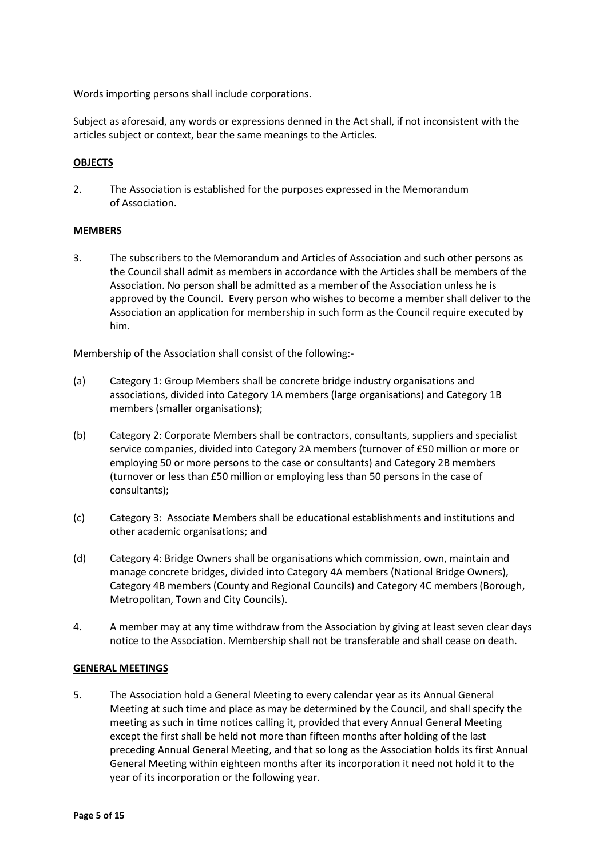Words importing persons shall include corporations.

Subject as aforesaid, any words or expressions denned in the Act shall, if not inconsistent with the articles subject or context, bear the same meanings to the Articles.

### **OBJECTS**

2. The Association is established for the purposes expressed in the Memorandum of Association.

## **MEMBERS**

3. The subscribers to the Memorandum and Articles of Association and such other persons as the Council shall admit as members in accordance with the Articles shall be members of the Association. No person shall be admitted as a member of the Association unless he is approved by the Council. Every person who wishes to become a member shall deliver to the Association an application for membership in such form as the Council require executed by him.

Membership of the Association shall consist of the following:-

- (a) Category 1: Group Members shall be concrete bridge industry organisations and associations, divided into Category 1A members (large organisations) and Category 1B members (smaller organisations);
- (b) Category 2: Corporate Members shall be contractors, consultants, suppliers and specialist service companies, divided into Category 2A members (turnover of £50 million or more or employing 50 or more persons to the case or consultants) and Category 2B members (turnover or less than £50 million or employing less than 50 persons in the case of consultants);
- (c) Category 3: Associate Members shall be educational establishments and institutions and other academic organisations; and
- (d) Category 4: Bridge Owners shall be organisations which commission, own, maintain and manage concrete bridges, divided into Category 4A members (National Bridge Owners), Category 4B members (County and Regional Councils) and Category 4C members (Borough, Metropolitan, Town and City Councils).
- 4. A member may at any time withdraw from the Association by giving at least seven clear days notice to the Association. Membership shall not be transferable and shall cease on death.

#### **GENERAL MEETINGS**

5. The Association hold a General Meeting to every calendar year as its Annual General Meeting at such time and place as may be determined by the Council, and shall specify the meeting as such in time notices calling it, provided that every Annual General Meeting except the first shall be held not more than fifteen months after holding of the last preceding Annual General Meeting, and that so long as the Association holds its first Annual General Meeting within eighteen months after its incorporation it need not hold it to the year of its incorporation or the following year.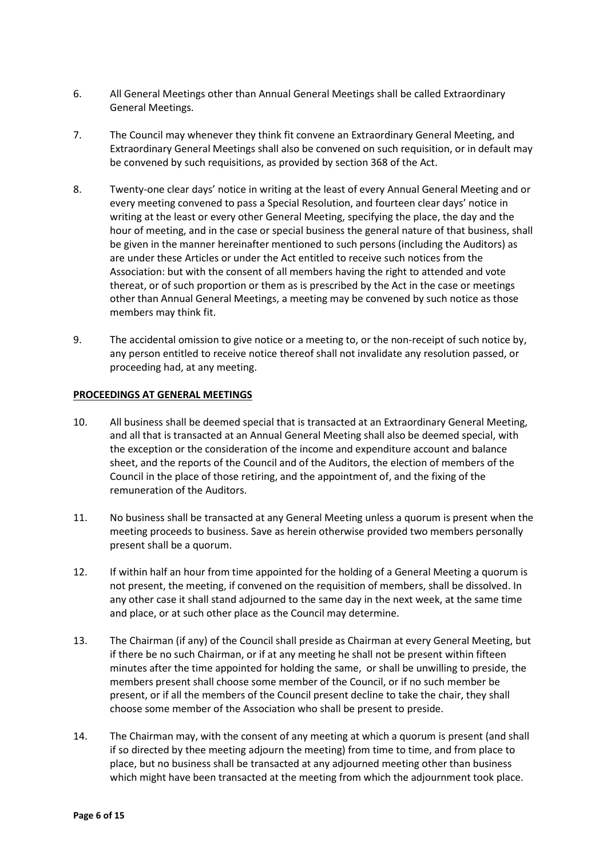- 6. All General Meetings other than Annual General Meetings shall be called Extraordinary General Meetings.
- 7. The Council may whenever they think fit convene an Extraordinary General Meeting, and Extraordinary General Meetings shall also be convened on such requisition, or in default may be convened by such requisitions, as provided by section 368 of the Act.
- 8. Twenty-one clear days' notice in writing at the least of every Annual General Meeting and or every meeting convened to pass a Special Resolution, and fourteen clear days' notice in writing at the least or every other General Meeting, specifying the place, the day and the hour of meeting, and in the case or special business the general nature of that business, shall be given in the manner hereinafter mentioned to such persons (including the Auditors) as are under these Articles or under the Act entitled to receive such notices from the Association: but with the consent of all members having the right to attended and vote thereat, or of such proportion or them as is prescribed by the Act in the case or meetings other than Annual General Meetings, a meeting may be convened by such notice as those members may think fit.
- 9. The accidental omission to give notice or a meeting to, or the non-receipt of such notice by, any person entitled to receive notice thereof shall not invalidate any resolution passed, or proceeding had, at any meeting.

### **PROCEEDINGS AT GENERAL MEETINGS**

- 10. All business shall be deemed special that is transacted at an Extraordinary General Meeting, and all that is transacted at an Annual General Meeting shall also be deemed special, with the exception or the consideration of the income and expenditure account and balance sheet, and the reports of the Council and of the Auditors, the election of members of the Council in the place of those retiring, and the appointment of, and the fixing of the remuneration of the Auditors.
- 11. No business shall be transacted at any General Meeting unless a quorum is present when the meeting proceeds to business. Save as herein otherwise provided two members personally present shall be a quorum.
- 12. If within half an hour from time appointed for the holding of a General Meeting a quorum is not present, the meeting, if convened on the requisition of members, shall be dissolved. In any other case it shall stand adjourned to the same day in the next week, at the same time and place, or at such other place as the Council may determine.
- 13. The Chairman (if any) of the Council shall preside as Chairman at every General Meeting, but if there be no such Chairman, or if at any meeting he shall not be present within fifteen minutes after the time appointed for holding the same, or shall be unwilling to preside, the members present shall choose some member of the Council, or if no such member be present, or if all the members of the Council present decline to take the chair, they shall choose some member of the Association who shall be present to preside.
- 14. The Chairman may, with the consent of any meeting at which a quorum is present (and shall if so directed by thee meeting adjourn the meeting) from time to time, and from place to place, but no business shall be transacted at any adjourned meeting other than business which might have been transacted at the meeting from which the adjournment took place.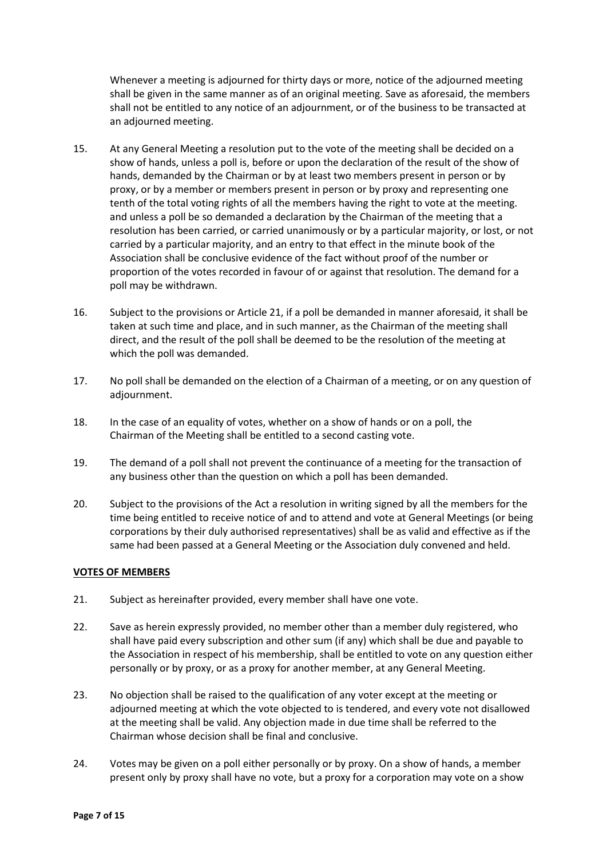Whenever a meeting is adjourned for thirty days or more, notice of the adjourned meeting shall be given in the same manner as of an original meeting. Save as aforesaid, the members shall not be entitled to any notice of an adjournment, or of the business to be transacted at an adjourned meeting.

- 15. At any General Meeting a resolution put to the vote of the meeting shall be decided on a show of hands, unless a poll is, before or upon the declaration of the result of the show of hands, demanded by the Chairman or by at least two members present in person or by proxy, or by a member or members present in person or by proxy and representing one tenth of the total voting rights of all the members having the right to vote at the meeting. and unless a poll be so demanded a declaration by the Chairman of the meeting that a resolution has been carried, or carried unanimously or by a particular majority, or lost, or not carried by a particular majority, and an entry to that effect in the minute book of the Association shall be conclusive evidence of the fact without proof of the number or proportion of the votes recorded in favour of or against that resolution. The demand for a poll may be withdrawn.
- 16. Subject to the provisions or Article 21, if a poll be demanded in manner aforesaid, it shall be taken at such time and place, and in such manner, as the Chairman of the meeting shall direct, and the result of the poll shall be deemed to be the resolution of the meeting at which the poll was demanded.
- 17. No poll shall be demanded on the election of a Chairman of a meeting, or on any question of adjournment.
- 18. In the case of an equality of votes, whether on a show of hands or on a poll, the Chairman of the Meeting shall be entitled to a second casting vote.
- 19. The demand of a poll shall not prevent the continuance of a meeting for the transaction of any business other than the question on which a poll has been demanded.
- 20. Subject to the provisions of the Act a resolution in writing signed by all the members for the time being entitled to receive notice of and to attend and vote at General Meetings (or being corporations by their duly authorised representatives) shall be as valid and effective as if the same had been passed at a General Meeting or the Association duly convened and held.

#### **VOTES OF MEMBERS**

- 21. Subject as hereinafter provided, every member shall have one vote.
- 22. Save as herein expressly provided, no member other than a member duly registered, who shall have paid every subscription and other sum (if any) which shall be due and payable to the Association in respect of his membership, shall be entitled to vote on any question either personally or by proxy, or as a proxy for another member, at any General Meeting.
- 23. No objection shall be raised to the qualification of any voter except at the meeting or adjourned meeting at which the vote objected to is tendered, and every vote not disallowed at the meeting shall be valid. Any objection made in due time shall be referred to the Chairman whose decision shall be final and conclusive.
- 24. Votes may be given on a poll either personally or by proxy. On a show of hands, a member present only by proxy shall have no vote, but a proxy for a corporation may vote on a show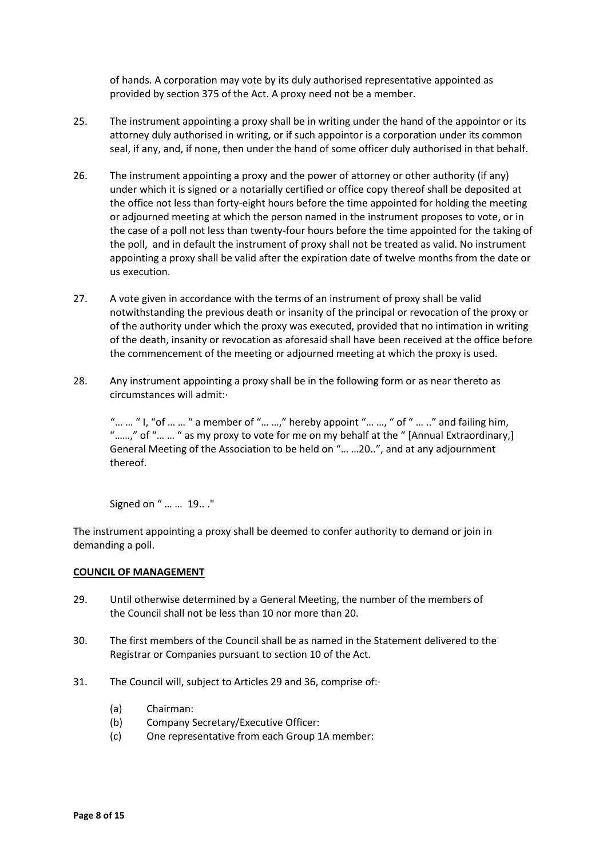of hands. A corporation may vote by its duly authorised representative appointed as provided by section 375 of the Act. A proxy need not be a member.

- 25. The instrument appointing a proxy shall be in writing under the hand of the appointor or its attorney duly authorised in writing, or if such appointor is a corporation under its common seal, if any, and, if none, then under the hand of some officer duly authorised in that behalf.
- 26. The instrument appointing a proxy and the power of attorney or other authority (if any) under which it is signed or a notarially certified or office copy thereof shall be deposited at the office not less than forty-eight hours before the time appointed for holding the meeting or adjourned meeting at which the person named in the instrument proposes to vote, or in the case of a poll not less than twenty-four hours before the time appointed for the taking of the poll, and in default the instrument of proxy shall not be treated as valid. No instrument appointing a proxy shall be valid after the expiration date of twelve months from the date or us execution.
- 27. A vote given in accordance with the terms of an instrument of proxy shall be valid notwithstanding the previous death or insanity of the principal or revocation of the proxy or of the authority under which the proxy was executed, provided that no intimation in writing of the death, insanity or revocation as aforesaid shall have been received at the office before the commencement of the meeting or adjourned meeting at which the proxy is used.
- 28. Any instrument appointing a proxy shall be in the following form or as near thereto as circumstances will admit:·

"... ... " I, "of ... ... " a member of "... ...," hereby appoint "... ..., " of " ... .." and failing him, "……," of "… … " as my proxy to vote for me on my behalf at the " [Annual Extraordinary,] General Meeting of the Association to be held on "… …20..", and at any adjournment thereof.

Signed on " … … 19.. ."

The instrument appointing a proxy shall be deemed to confer authority to demand or join in demanding a poll.

## **COUNCIL OF MANAGEMENT**

- 29. Until otherwise determined by a General Meeting, the number of the members of the Council shall not be less than 10 nor more than 20.
- 30. The first members of the Council shall be as named in the Statement delivered to the Registrar or Companies pursuant to section 10 of the Act.
- 31. The Council will, subject to Articles 29 and 36, comprise of:·
	- (a) Chairman:
	- (b) Company Secretary/Executive Officer:
	- (c) One representative from each Group 1A member: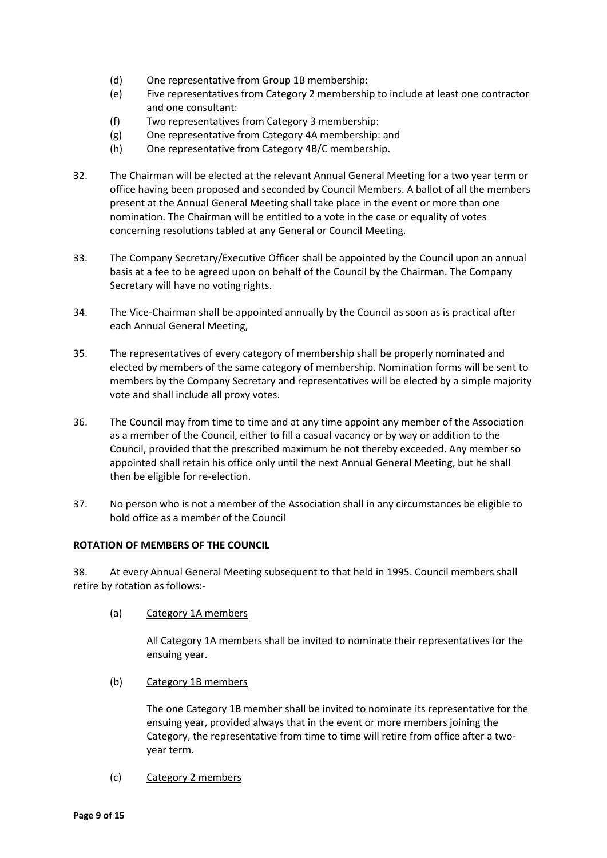- (d) One representative from Group 1B membership:
- (e) Five representatives from Category 2 membership to include at least one contractor and one consultant:
- (f) Two representatives from Category 3 membership:
- (g) One representative from Category 4A membership: and
- (h) One representative from Category 4B/C membership.
- 32. The Chairman will be elected at the relevant Annual General Meeting for a two year term or office having been proposed and seconded by Council Members. A ballot of all the members present at the Annual General Meeting shall take place in the event or more than one nomination. The Chairman will be entitled to a vote in the case or equality of votes concerning resolutions tabled at any General or Council Meeting.
- 33. The Company Secretary/Executive Officer shall be appointed by the Council upon an annual basis at a fee to be agreed upon on behalf of the Council by the Chairman. The Company Secretary will have no voting rights.
- 34. The Vice-Chairman shall be appointed annually by the Council as soon as is practical after each Annual General Meeting,
- 35. The representatives of every category of membership shall be properly nominated and elected by members of the same category of membership. Nomination forms will be sent to members by the Company Secretary and representatives will be elected by a simple majority vote and shall include all proxy votes.
- 36. The Council may from time to time and at any time appoint any member of the Association as a member of the Council, either to fill a casual vacancy or by way or addition to the Council, provided that the prescribed maximum be not thereby exceeded. Any member so appointed shall retain his office only until the next Annual General Meeting, but he shall then be eligible for re-election.
- 37. No person who is not a member of the Association shall in any circumstances be eligible to hold office as a member of the Council

## **ROTATION OF MEMBERS OF THE COUNCIL**

38. At every Annual General Meeting subsequent to that held in 1995. Council members shall retire by rotation as follows:-

(a) Category 1A members

All Category 1A members shall be invited to nominate their representatives for the ensuing year.

(b) Category 1B members

The one Category 1B member shall be invited to nominate its representative for the ensuing year, provided always that in the event or more members joining the Category, the representative from time to time will retire from office after a twoyear term.

(c) Category 2 members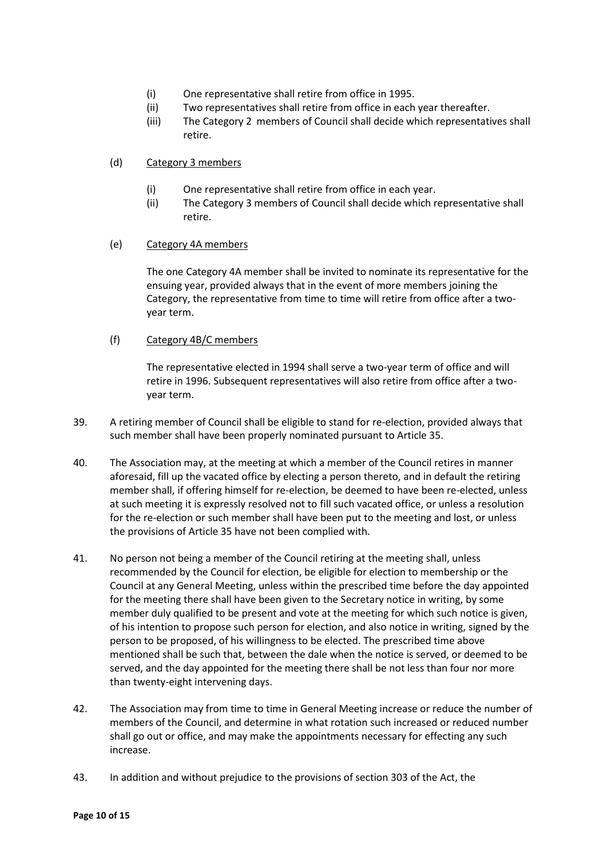- (i) One representative shall retire from office in 1995.
- (ii) Two representatives shall retire from office in each year thereafter.
- (iii) The Category 2 members of Council shall decide which representatives shall retire.
- (d) Category 3 members
	- (i) One representative shall retire from office in each year.
	- (ii) The Category 3 members of Council shall decide which representative shall retire.
- (e) Category 4A members

The one Category 4A member shall be invited to nominate its representative for the ensuing year, provided always that in the event of more members joining the Category, the representative from time to time will retire from office after a twoyear term.

(f) Category 4B/C members

The representative elected in 1994 shall serve a two-year term of office and will retire in 1996. Subsequent representatives will also retire from office after a twoyear term.

- 39. A retiring member of Council shall be eligible to stand for re-election, provided always that such member shall have been properly nominated pursuant to Article 35.
- 40. The Association may, at the meeting at which a member of the Council retires in manner aforesaid, fill up the vacated office by electing a person thereto, and in default the retiring member shall, if offering himself for re-election, be deemed to have been re-elected, unless at such meeting it is expressly resolved not to fill such vacated office, or unless a resolution for the re-election or such member shall have been put to the meeting and lost, or unless the provisions of Article 35 have not been complied with.
- 41. No person not being a member of the Council retiring at the meeting shall, unless recommended by the Council for election, be eligible for election to membership or the Council at any General Meeting, unless within the prescribed time before the day appointed for the meeting there shall have been given to the Secretary notice in writing, by some member duly qualified to be present and vote at the meeting for which such notice is given, of his intention to propose such person for election, and also notice in writing, signed by the person to be proposed, of his willingness to be elected. The prescribed time above mentioned shall be such that, between the dale when the notice is served, or deemed to be served, and the day appointed for the meeting there shall be not less than four nor more than twenty-eight intervening days.
- 42. The Association may from time to time in General Meeting increase or reduce the number of members of the Council, and determine in what rotation such increased or reduced number shall go out or office, and may make the appointments necessary for effecting any such increase.
- 43. In addition and without prejudice to the provisions of section 303 of the Act, the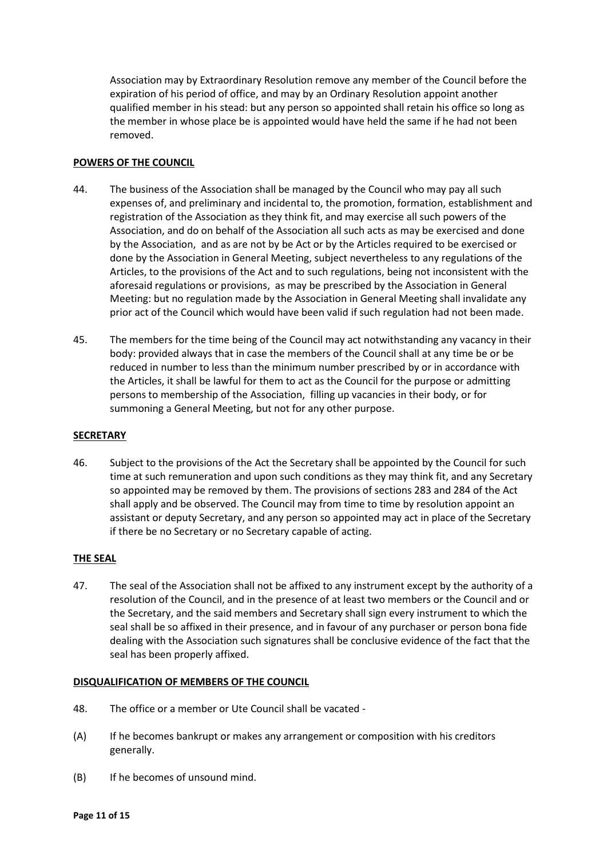Association may by Extraordinary Resolution remove any member of the Council before the expiration of his period of office, and may by an Ordinary Resolution appoint another qualified member in his stead: but any person so appointed shall retain his office so long as the member in whose place be is appointed would have held the same if he had not been removed.

## **POWERS OF THE COUNCIL**

- 44. The business of the Association shall be managed by the Council who may pay all such expenses of, and preliminary and incidental to, the promotion, formation, establishment and registration of the Association as they think fit, and may exercise all such powers of the Association, and do on behalf of the Association all such acts as may be exercised and done by the Association, and as are not by be Act or by the Articles required to be exercised or done by the Association in General Meeting, subject nevertheless to any regulations of the Articles, to the provisions of the Act and to such regulations, being not inconsistent with the aforesaid regulations or provisions, as may be prescribed by the Association in General Meeting: but no regulation made by the Association in General Meeting shall invalidate any prior act of the Council which would have been valid if such regulation had not been made.
- 45. The members for the time being of the Council may act notwithstanding any vacancy in their body: provided always that in case the members of the Council shall at any time be or be reduced in number to less than the minimum number prescribed by or in accordance with the Articles, it shall be lawful for them to act as the Council for the purpose or admitting persons to membership of the Association, filling up vacancies in their body, or for summoning a General Meeting, but not for any other purpose.

#### **SECRETARY**

46. Subject to the provisions of the Act the Secretary shall be appointed by the Council for such time at such remuneration and upon such conditions as they may think fit, and any Secretary so appointed may be removed by them. The provisions of sections 283 and 284 of the Act shall apply and be observed. The Council may from time to time by resolution appoint an assistant or deputy Secretary, and any person so appointed may act in place of the Secretary if there be no Secretary or no Secretary capable of acting.

## **THE SEAL**

47. The seal of the Association shall not be affixed to any instrument except by the authority of a resolution of the Council, and in the presence of at least two members or the Council and or the Secretary, and the said members and Secretary shall sign every instrument to which the seal shall be so affixed in their presence, and in favour of any purchaser or person bona fide dealing with the Association such signatures shall be conclusive evidence of the fact that the seal has been properly affixed.

#### **DISQUALIFICATION OF MEMBERS OF THE COUNCIL**

- 48. The office or a member or Ute Council shall be vacated -
- (A) If he becomes bankrupt or makes any arrangement or composition with his creditors generally.
- (B) If he becomes of unsound mind.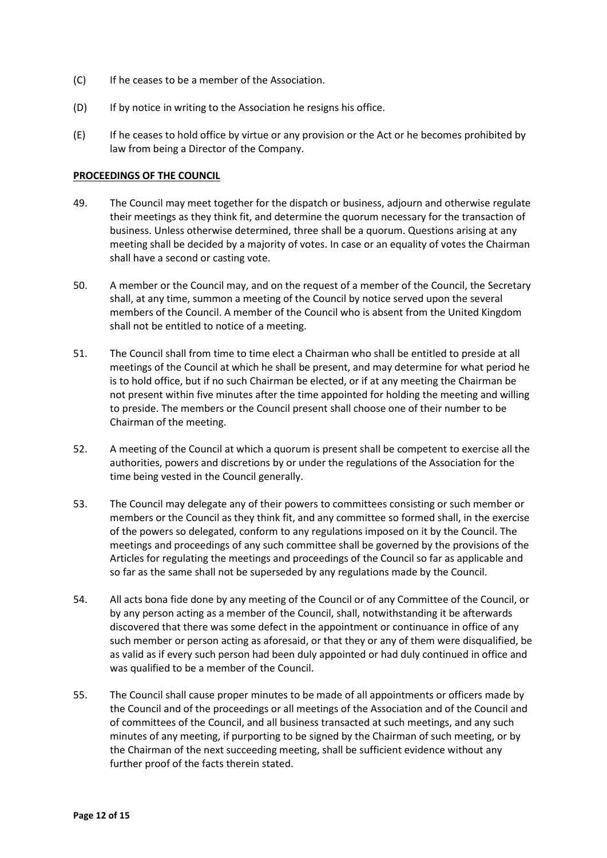- (C) If he ceases to be a member of the Association.
- (D) If by notice in writing to the Association he resigns his office.
- (E) If he ceases to hold office by virtue or any provision or the Act or he becomes prohibited by law from being a Director of the Company.

#### **PROCEEDINGS OF THE COUNCIL**

- 49. The Council may meet together for the dispatch or business, adjourn and otherwise regulate their meetings as they think fit, and determine the quorum necessary for the transaction of business. Unless otherwise determined, three shall be a quorum. Questions arising at any meeting shall be decided by a majority of votes. In case or an equality of votes the Chairman shall have a second or casting vote.
- 50. A member or the Council may, and on the request of a member of the Council, the Secretary shall, at any time, summon a meeting of the Council by notice served upon the several members of the Council. A member of the Council who is absent from the United Kingdom shall not be entitled to notice of a meeting.
- 51. The Council shall from time to time elect a Chairman who shall be entitled to preside at all meetings of the Council at which he shall be present, and may determine for what period he is to hold office, but if no such Chairman be elected, or if at any meeting the Chairman be not present within five minutes after the time appointed for holding the meeting and willing to preside. The members or the Council present shall choose one of their number to be Chairman of the meeting.
- 52. A meeting of the Council at which a quorum is present shall be competent to exercise all the authorities, powers and discretions by or under the regulations of the Association for the time being vested in the Council generally.
- 53. The Council may delegate any of their powers to committees consisting or such member or members or the Council as they think fit, and any committee so formed shall, in the exercise of the powers so delegated, conform to any regulations imposed on it by the Council. The meetings and proceedings of any such committee shall be governed by the provisions of the Articles for regulating the meetings and proceedings of the Council so far as applicable and so far as the same shall not be superseded by any regulations made by the Council.
- 54. All acts bona fide done by any meeting of the Council or of any Committee of the Council, or by any person acting as a member of the Council, shall, notwithstanding it be afterwards discovered that there was some defect in the appointment or continuance in office of any such member or person acting as aforesaid, or that they or any of them were disqualified, be as valid as if every such person had been duly appointed or had duly continued in office and was qualified to be a member of the Council.
- 55. The Council shall cause proper minutes to be made of all appointments or officers made by the Council and of the proceedings or all meetings of the Association and of the Council and of committees of the Council, and all business transacted at such meetings, and any such minutes of any meeting, if purporting to be signed by the Chairman of such meeting, or by the Chairman of the next succeeding meeting, shall be sufficient evidence without any further proof of the facts therein stated.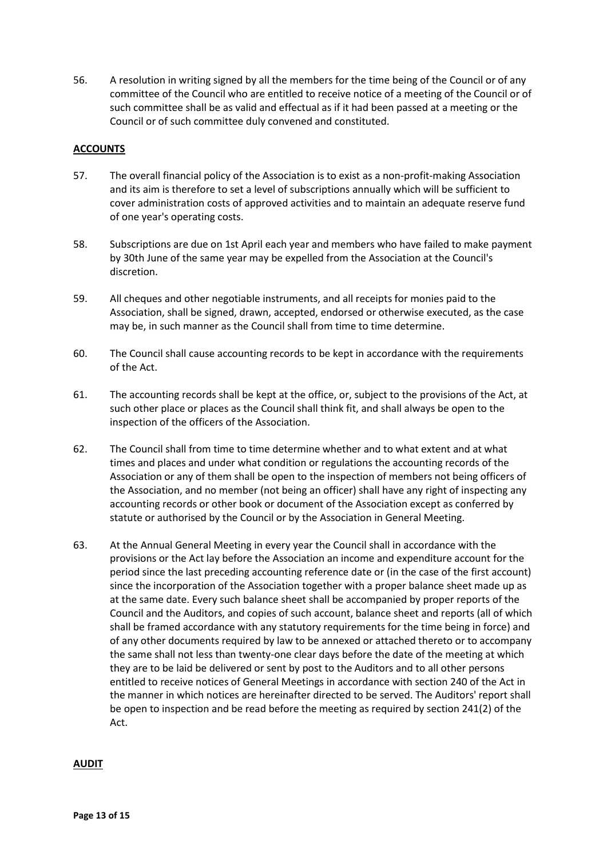56. A resolution in writing signed by all the members for the time being of the Council or of any committee of the Council who are entitled to receive notice of a meeting of the Council or of such committee shall be as valid and effectual as if it had been passed at a meeting or the Council or of such committee duly convened and constituted.

## **ACCOUNTS**

- 57. The overall financial policy of the Association is to exist as a non-profit-making Association and its aim is therefore to set a level of subscriptions annually which will be sufficient to cover administration costs of approved activities and to maintain an adequate reserve fund of one year's operating costs.
- 58. Subscriptions are due on 1st April each year and members who have failed to make payment by 30th June of the same year may be expelled from the Association at the Council's discretion.
- 59. All cheques and other negotiable instruments, and all receipts for monies paid to the Association, shall be signed, drawn, accepted, endorsed or otherwise executed, as the case may be, in such manner as the Council shall from time to time determine.
- 60. The Council shall cause accounting records to be kept in accordance with the requirements of the Act.
- 61. The accounting records shall be kept at the office, or, subject to the provisions of the Act, at such other place or places as the Council shall think fit, and shall always be open to the inspection of the officers of the Association.
- 62. The Council shall from time to time determine whether and to what extent and at what times and places and under what condition or regulations the accounting records of the Association or any of them shall be open to the inspection of members not being officers of the Association, and no member (not being an officer) shall have any right of inspecting any accounting records or other book or document of the Association except as conferred by statute or authorised by the Council or by the Association in General Meeting.
- 63. At the Annual General Meeting in every year the Council shall in accordance with the provisions or the Act lay before the Association an income and expenditure account for the period since the last preceding accounting reference date or (in the case of the first account) since the incorporation of the Association together with a proper balance sheet made up as at the same date. Every such balance sheet shall be accompanied by proper reports of the Council and the Auditors, and copies of such account, balance sheet and reports (all of which shall be framed accordance with any statutory requirements for the time being in force) and of any other documents required by law to be annexed or attached thereto or to accompany the same shall not less than twenty-one clear days before the date of the meeting at which they are to be laid be delivered or sent by post to the Auditors and to all other persons entitled to receive notices of General Meetings in accordance with section 240 of the Act in the manner in which notices are hereinafter directed to be served. The Auditors' report shall be open to inspection and be read before the meeting as required by section 241(2) of the Act.

## **AUDIT**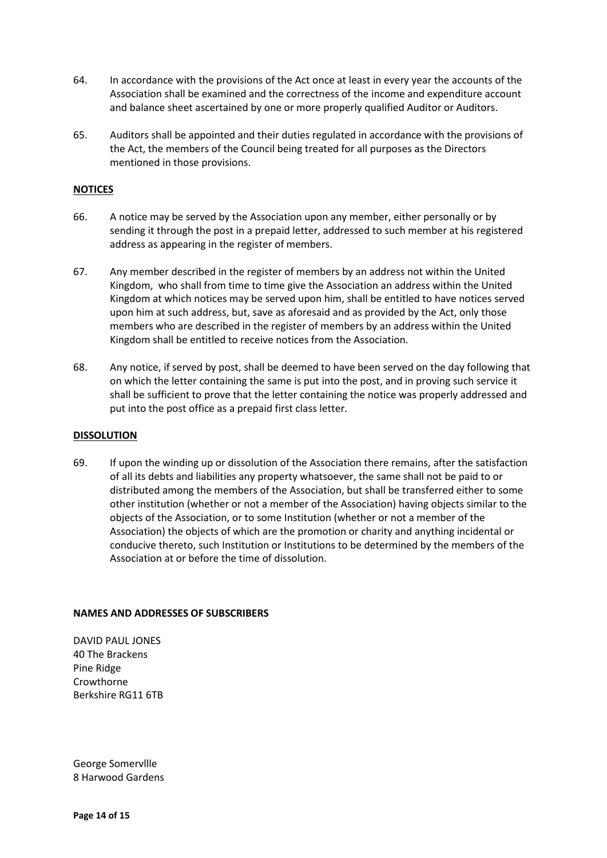- 64. In accordance with the provisions of the Act once at least in every year the accounts of the Association shall be examined and the correctness of the income and expenditure account and balance sheet ascertained by one or more properly qualified Auditor or Auditors.
- 65. Auditors shall be appointed and their duties regulated in accordance with the provisions of the Act, the members of the Council being treated for all purposes as the Directors mentioned in those provisions.

## **NOTICES**

- 66. A notice may be served by the Association upon any member, either personally or by sending it through the post in a prepaid letter, addressed to such member at his registered address as appearing in the register of members.
- 67. Any member described in the register of members by an address not within the United Kingdom, who shall from time to time give the Association an address within the United Kingdom at which notices may be served upon him, shall be entitled to have notices served upon him at such address, but, save as aforesaid and as provided by the Act, only those members who are described in the register of members by an address within the United Kingdom shall be entitled to receive notices from the Association.
- 68. Any notice, if served by post, shall be deemed to have been served on the day following that on which the letter containing the same is put into the post, and in proving such service it shall be sufficient to prove that the letter containing the notice was properly addressed and put into the post office as a prepaid first class letter.

## **DISSOLUTION**

69. If upon the winding up or dissolution of the Association there remains, after the satisfaction of all its debts and liabilities any property whatsoever, the same shall not be paid to or distributed among the members of the Association, but shall be transferred either to some other institution (whether or not a member of the Association) having objects similar to the objects of the Association, or to some Institution (whether or not a member of the Association) the objects of which are the promotion or charity and anything incidental or conducive thereto, such Institution or Institutions to be determined by the members of the Association at or before the time of dissolution.

## **NAMES AND ADDRESSES OF SUBSCRIBERS**

DAVID PAUL JONES 40 The Brackens Pine Ridge Crowthorne Berkshire RG11 6TB

George Somervllle 8 Harwood Gardens